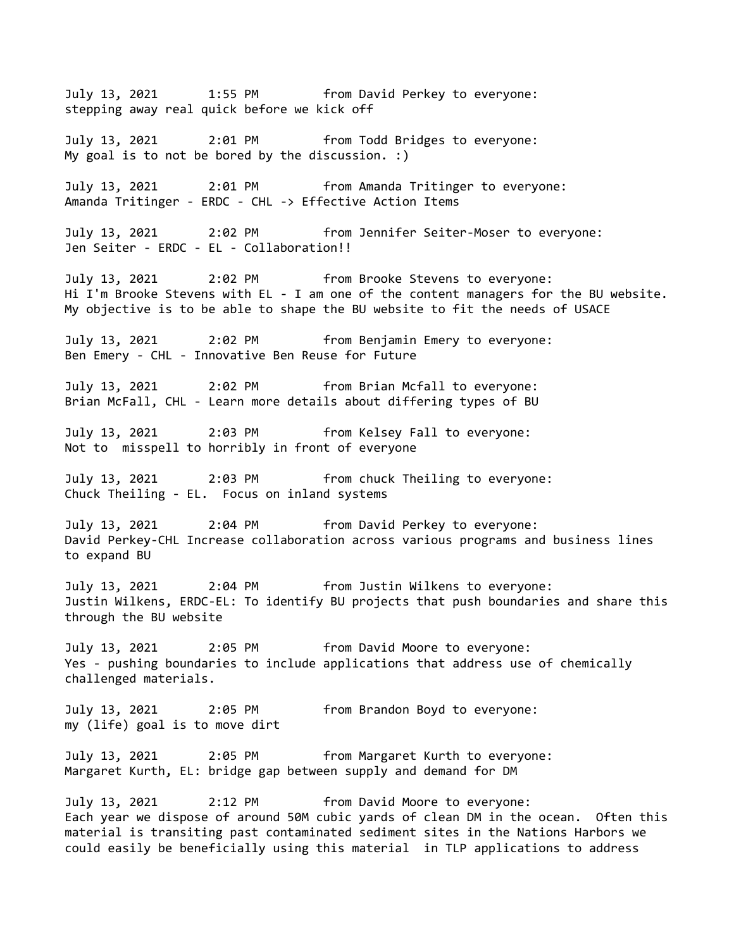July 13, 2021 1:55 PM from David Perkey to everyone: stepping away real quick before we kick off July 13, 2021 2:01 PM from Todd Bridges to everyone: My goal is to not be bored by the discussion. :) July 13, 2021 2:01 PM from Amanda Tritinger to everyone: Amanda Tritinger - ERDC - CHL -> Effective Action Items July 13, 2021 2:02 PM from Jennifer Seiter-Moser to everyone: Jen Seiter - ERDC - EL - Collaboration!! July 13, 2021 2:02 PM from Brooke Stevens to everyone: Hi I'm Brooke Stevens with EL - I am one of the content managers for the BU website. My objective is to be able to shape the BU website to fit the needs of USACE July 13, 2021 2:02 PM from Benjamin Emery to everyone: Ben Emery - CHL - Innovative Ben Reuse for Future July 13, 2021 2:02 PM from Brian Mcfall to everyone: Brian McFall, CHL - Learn more details about differing types of BU July 13, 2021 2:03 PM from Kelsey Fall to everyone: Not to misspell to horribly in front of everyone July 13, 2021 2:03 PM from chuck Theiling to everyone: Chuck Theiling - EL. Focus on inland systems July 13, 2021 2:04 PM from David Perkey to everyone: David Perkey-CHL Increase collaboration across various programs and business lines to expand BU July 13, 2021 2:04 PM from Justin Wilkens to everyone: Justin Wilkens, ERDC-EL: To identify BU projects that push boundaries and share this through the BU website July 13, 2021 2:05 PM from David Moore to everyone: Yes - pushing boundaries to include applications that address use of chemically challenged materials. July 13, 2021 2:05 PM from Brandon Boyd to everyone: my (life) goal is to move dirt July 13, 2021 2:05 PM from Margaret Kurth to everyone: Margaret Kurth, EL: bridge gap between supply and demand for DM July 13, 2021 2:12 PM from David Moore to everyone: Each year we dispose of around 50M cubic yards of clean DM in the ocean. Often this material is transiting past contaminated sediment sites in the Nations Harbors we could easily be beneficially using this material in TLP applications to address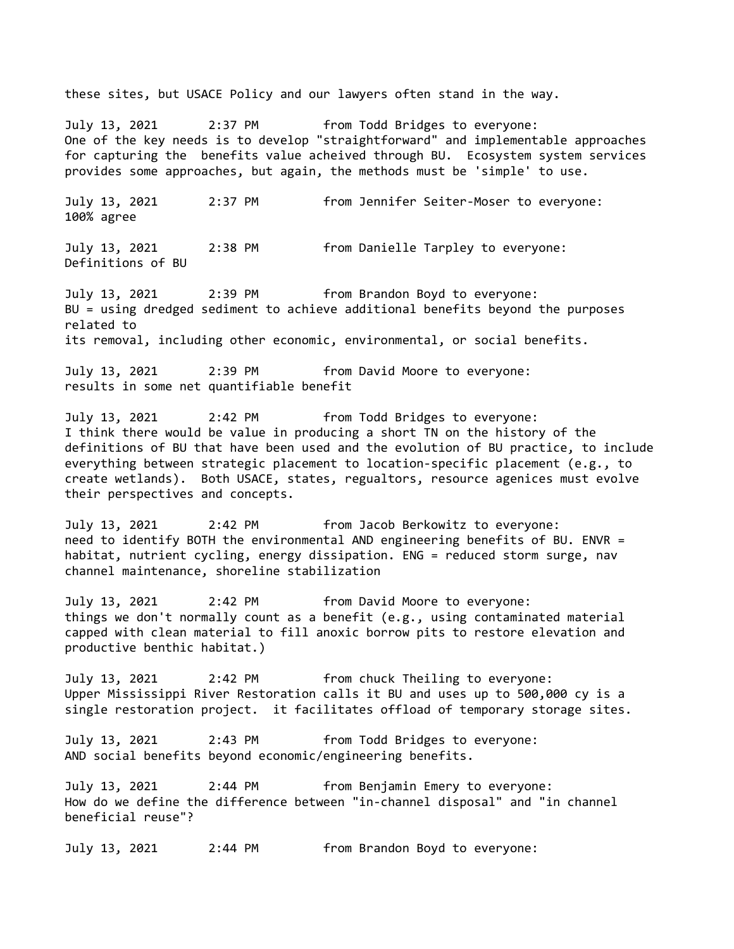these sites, but USACE Policy and our lawyers often stand in the way.

July 13, 2021 2:37 PM from Todd Bridges to everyone: One of the key needs is to develop "straightforward" and implementable approaches for capturing the benefits value acheived through BU. Ecosystem system services provides some approaches, but again, the methods must be 'simple' to use.

July 13, 2021 2:37 PM from Jennifer Seiter-Moser to everyone: 100% agree

July 13, 2021 2:38 PM from Danielle Tarpley to everyone: Definitions of BU

July 13, 2021 2:39 PM from Brandon Boyd to everyone: BU = using dredged sediment to achieve additional benefits beyond the purposes related to its removal, including other economic, environmental, or social benefits.

July 13, 2021 2:39 PM from David Moore to everyone: results in some net quantifiable benefit

July 13, 2021 2:42 PM from Todd Bridges to everyone: I think there would be value in producing a short TN on the history of the definitions of BU that have been used and the evolution of BU practice, to include everything between strategic placement to location-specific placement (e.g., to create wetlands). Both USACE, states, regualtors, resource agenices must evolve their perspectives and concepts.

July 13, 2021 2:42 PM from Jacob Berkowitz to everyone: need to identify BOTH the environmental AND engineering benefits of BU. ENVR = habitat, nutrient cycling, energy dissipation. ENG = reduced storm surge, nav channel maintenance, shoreline stabilization

July 13, 2021 2:42 PM from David Moore to everyone: things we don't normally count as a benefit (e.g., using contaminated material capped with clean material to fill anoxic borrow pits to restore elevation and productive benthic habitat.)

July 13, 2021 2:42 PM from chuck Theiling to everyone: Upper Mississippi River Restoration calls it BU and uses up to 500,000 cy is a single restoration project. it facilitates offload of temporary storage sites.

July 13, 2021 2:43 PM from Todd Bridges to everyone: AND social benefits beyond economic/engineering benefits.

July 13, 2021 2:44 PM from Benjamin Emery to everyone: How do we define the difference between "in-channel disposal" and "in channel beneficial reuse"?

July 13, 2021 2:44 PM from Brandon Boyd to everyone: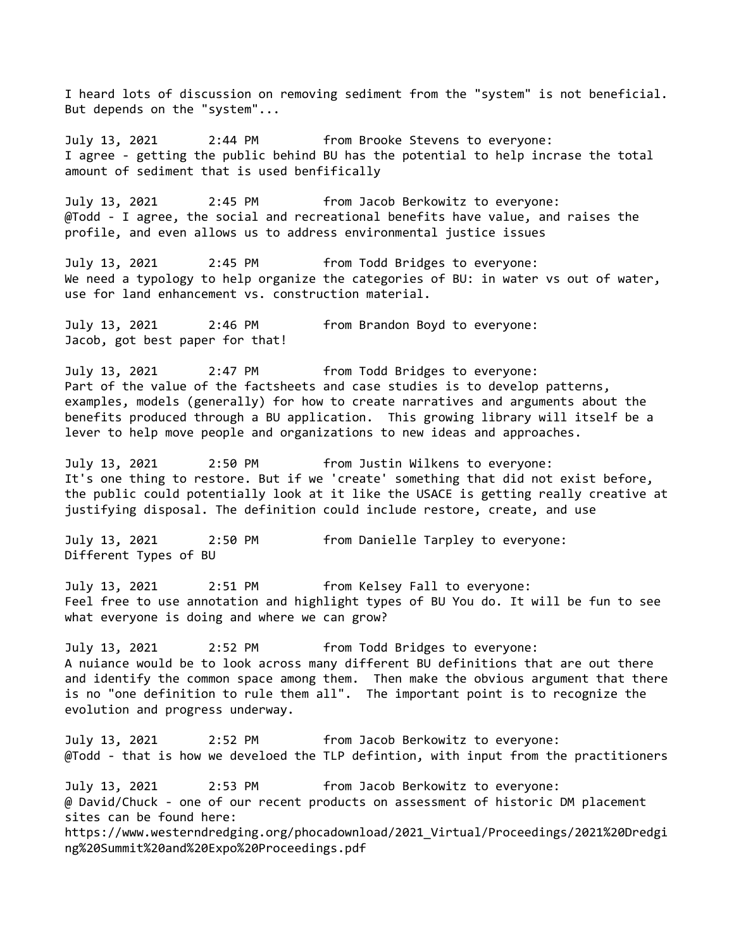I heard lots of discussion on removing sediment from the "system" is not beneficial. But depends on the "system"...

July 13, 2021 2:44 PM from Brooke Stevens to everyone: I agree - getting the public behind BU has the potential to help incrase the total amount of sediment that is used benfifically

July 13, 2021 2:45 PM from Jacob Berkowitz to everyone: @Todd - I agree, the social and recreational benefits have value, and raises the profile, and even allows us to address environmental justice issues

July 13, 2021 2:45 PM from Todd Bridges to everyone: We need a typology to help organize the categories of BU: in water vs out of water, use for land enhancement vs. construction material.

July 13, 2021 2:46 PM from Brandon Boyd to everyone: Jacob, got best paper for that!

July 13, 2021 2:47 PM from Todd Bridges to everyone: Part of the value of the factsheets and case studies is to develop patterns, examples, models (generally) for how to create narratives and arguments about the benefits produced through a BU application. This growing library will itself be a lever to help move people and organizations to new ideas and approaches.

July 13, 2021 2:50 PM from Justin Wilkens to everyone: It's one thing to restore. But if we 'create' something that did not exist before, the public could potentially look at it like the USACE is getting really creative at justifying disposal. The definition could include restore, create, and use

July 13, 2021 2:50 PM from Danielle Tarpley to everyone: Different Types of BU

July 13, 2021 2:51 PM from Kelsey Fall to everyone: Feel free to use annotation and highlight types of BU You do. It will be fun to see what everyone is doing and where we can grow?

July 13, 2021 2:52 PM from Todd Bridges to everyone: A nuiance would be to look across many different BU definitions that are out there and identify the common space among them. Then make the obvious argument that there is no "one definition to rule them all". The important point is to recognize the evolution and progress underway.

July 13, 2021 2:52 PM from Jacob Berkowitz to everyone: @Todd - that is how we develoed the TLP defintion, with input from the practitioners July 13, 2021 2:53 PM from Jacob Berkowitz to everyone: @ David/Chuck - one of our recent products on assessment of historic DM placement sites can be found here: https://www.westerndredging.org/phocadownload/2021\_Virtual/Proceedings/2021%20Dredgi ng%20Summit%20and%20Expo%20Proceedings.pdf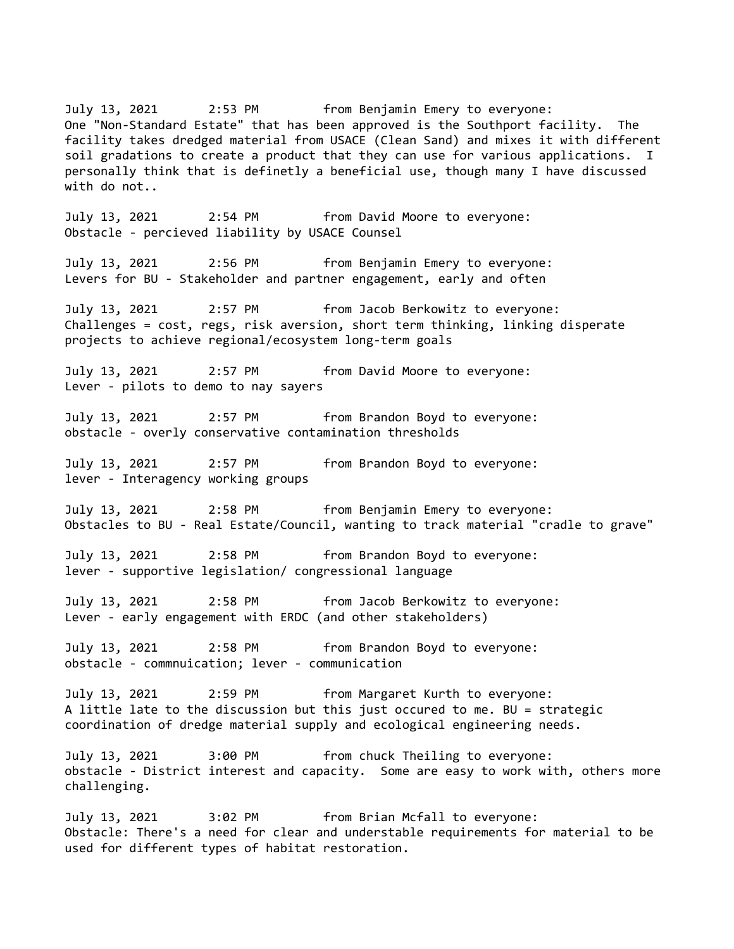July 13, 2021 2:53 PM from Benjamin Emery to everyone: One "Non-Standard Estate" that has been approved is the Southport facility. The facility takes dredged material from USACE (Clean Sand) and mixes it with different soil gradations to create a product that they can use for various applications. I personally think that is definetly a beneficial use, though many I have discussed with do not.. July 13, 2021 2:54 PM from David Moore to everyone: Obstacle - percieved liability by USACE Counsel July 13, 2021 2:56 PM from Benjamin Emery to everyone: Levers for BU - Stakeholder and partner engagement, early and often July 13, 2021 2:57 PM from Jacob Berkowitz to everyone: Challenges = cost, regs, risk aversion, short term thinking, linking disperate projects to achieve regional/ecosystem long-term goals July 13, 2021 2:57 PM from David Moore to everyone: Lever - pilots to demo to nay sayers July 13, 2021 2:57 PM from Brandon Boyd to everyone: obstacle - overly conservative contamination thresholds July 13, 2021 2:57 PM from Brandon Boyd to everyone: lever - Interagency working groups July 13, 2021 2:58 PM from Benjamin Emery to everyone: Obstacles to BU - Real Estate/Council, wanting to track material "cradle to grave" July 13, 2021 2:58 PM from Brandon Boyd to everyone: lever - supportive legislation/ congressional language July 13, 2021 2:58 PM from Jacob Berkowitz to everyone: Lever - early engagement with ERDC (and other stakeholders) July 13, 2021 2:58 PM from Brandon Boyd to everyone: obstacle - commnuication; lever - communication July 13, 2021 2:59 PM from Margaret Kurth to everyone: A little late to the discussion but this just occured to me. BU = strategic coordination of dredge material supply and ecological engineering needs. July 13, 2021 3:00 PM from chuck Theiling to everyone: obstacle - District interest and capacity. Some are easy to work with, others more challenging. July 13, 2021 3:02 PM from Brian Mcfall to everyone: Obstacle: There's a need for clear and understable requirements for material to be used for different types of habitat restoration.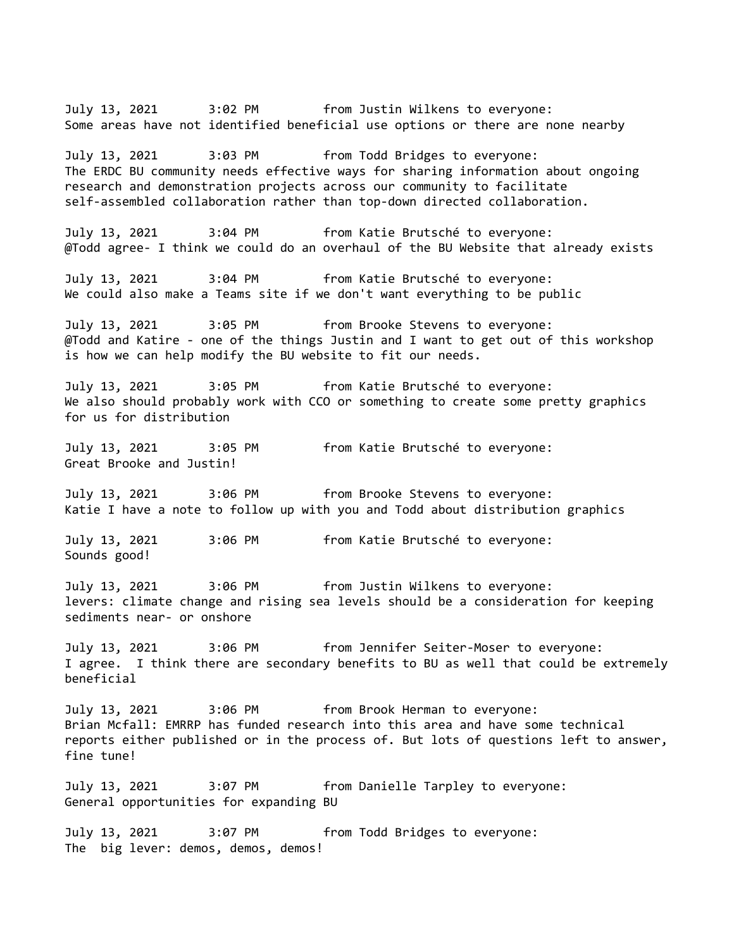July 13, 2021 3:02 PM from Justin Wilkens to everyone: Some areas have not identified beneficial use options or there are none nearby July 13, 2021 3:03 PM from Todd Bridges to everyone: The ERDC BU community needs effective ways for sharing information about ongoing research and demonstration projects across our community to facilitate self-assembled collaboration rather than top-down directed collaboration. July 13, 2021 3:04 PM from Katie Brutsché to everyone: @Todd agree- I think we could do an overhaul of the BU Website that already exists July 13, 2021 3:04 PM from Katie Brutsché to everyone: We could also make a Teams site if we don't want everything to be public July 13, 2021 3:05 PM from Brooke Stevens to everyone: @Todd and Katire - one of the things Justin and I want to get out of this workshop is how we can help modify the BU website to fit our needs. July 13, 2021 3:05 PM from Katie Brutsché to everyone: We also should probably work with CCO or something to create some pretty graphics for us for distribution July 13, 2021 3:05 PM from Katie Brutsché to everyone: Great Brooke and Justin! July 13, 2021 3:06 PM from Brooke Stevens to everyone: Katie I have a note to follow up with you and Todd about distribution graphics July 13, 2021 3:06 PM from Katie Brutsché to everyone: Sounds good! July 13, 2021 3:06 PM from Justin Wilkens to everyone: levers: climate change and rising sea levels should be a consideration for keeping sediments near- or onshore July 13, 2021 3:06 PM from Jennifer Seiter-Moser to everyone: I agree. I think there are secondary benefits to BU as well that could be extremely beneficial July 13, 2021 3:06 PM from Brook Herman to everyone: Brian Mcfall: EMRRP has funded research into this area and have some technical reports either published or in the process of. But lots of questions left to answer, fine tune! July 13, 2021 3:07 PM from Danielle Tarpley to everyone: General opportunities for expanding BU July 13, 2021 3:07 PM from Todd Bridges to everyone: The big lever: demos, demos, demos!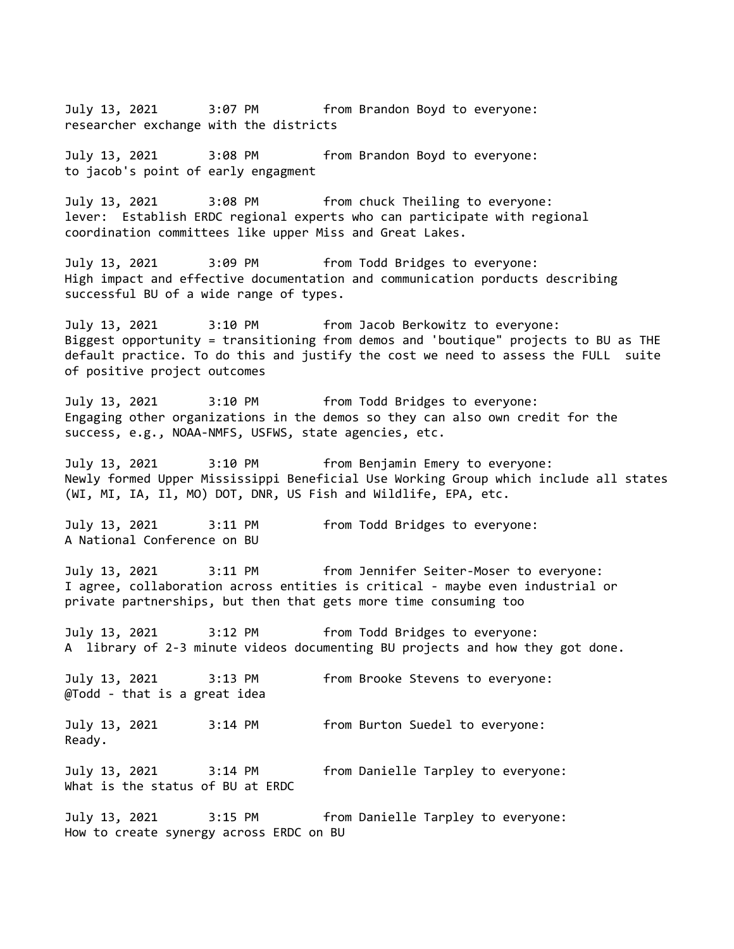July 13, 2021 3:07 PM from Brandon Boyd to everyone: researcher exchange with the districts

July 13, 2021 3:08 PM from Brandon Boyd to everyone: to jacob's point of early engagment

July 13, 2021 3:08 PM from chuck Theiling to everyone: lever: Establish ERDC regional experts who can participate with regional coordination committees like upper Miss and Great Lakes.

July 13, 2021 3:09 PM from Todd Bridges to everyone: High impact and effective documentation and communication porducts describing successful BU of a wide range of types.

July 13, 2021 3:10 PM from Jacob Berkowitz to everyone: Biggest opportunity = transitioning from demos and 'boutique" projects to BU as THE default practice. To do this and justify the cost we need to assess the FULL suite of positive project outcomes

July 13, 2021 3:10 PM from Todd Bridges to everyone: Engaging other organizations in the demos so they can also own credit for the success, e.g., NOAA-NMFS, USFWS, state agencies, etc.

July 13, 2021 3:10 PM from Benjamin Emery to everyone: Newly formed Upper Mississippi Beneficial Use Working Group which include all states (WI, MI, IA, Il, MO) DOT, DNR, US Fish and Wildlife, EPA, etc.

July 13, 2021 3:11 PM from Todd Bridges to everyone: A National Conference on BU

July 13, 2021 3:11 PM from Jennifer Seiter-Moser to everyone: I agree, collaboration across entities is critical - maybe even industrial or private partnerships, but then that gets more time consuming too

July 13, 2021 3:12 PM from Todd Bridges to everyone: A library of 2-3 minute videos documenting BU projects and how they got done.

July 13, 2021 3:13 PM from Brooke Stevens to everyone: @Todd - that is a great idea

July 13, 2021 3:14 PM from Burton Suedel to everyone: Ready.

July 13, 2021 3:14 PM from Danielle Tarpley to everyone:

What is the status of BU at ERDC

July 13, 2021 3:15 PM from Danielle Tarpley to everyone: How to create synergy across ERDC on BU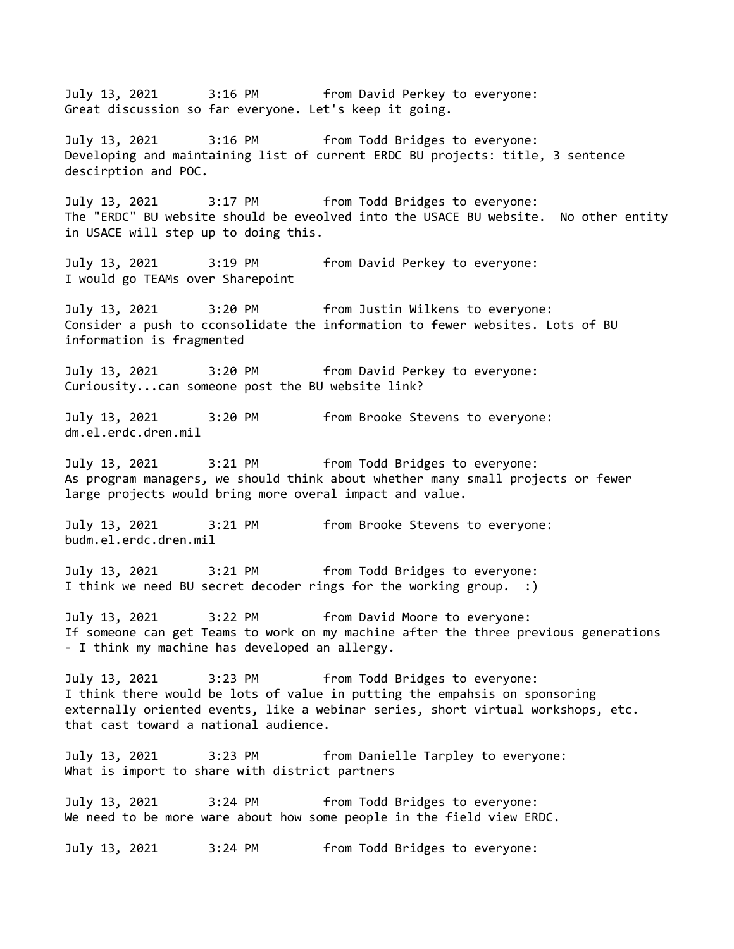July 13, 2021 3:16 PM from David Perkey to everyone: Great discussion so far everyone. Let's keep it going. July 13, 2021 3:16 PM from Todd Bridges to everyone: Developing and maintaining list of current ERDC BU projects: title, 3 sentence descirption and POC. July 13, 2021 3:17 PM from Todd Bridges to everyone: The "ERDC" BU website should be eveolved into the USACE BU website. No other entity in USACE will step up to doing this. July 13, 2021 3:19 PM from David Perkey to everyone: I would go TEAMs over Sharepoint July 13, 2021 3:20 PM from Justin Wilkens to everyone: Consider a push to cconsolidate the information to fewer websites. Lots of BU information is fragmented July 13, 2021 3:20 PM from David Perkey to everyone: Curiousity...can someone post the BU website link? July 13, 2021 3:20 PM from Brooke Stevens to everyone: dm.el.erdc.dren.mil July 13, 2021 3:21 PM from Todd Bridges to everyone: As program managers, we should think about whether many small projects or fewer large projects would bring more overal impact and value. July 13, 2021 3:21 PM from Brooke Stevens to everyone: budm.el.erdc.dren.mil July 13, 2021 3:21 PM from Todd Bridges to everyone: I think we need BU secret decoder rings for the working group. :) July 13, 2021 3:22 PM from David Moore to everyone: If someone can get Teams to work on my machine after the three previous generations - I think my machine has developed an allergy. July 13, 2021 3:23 PM from Todd Bridges to everyone: I think there would be lots of value in putting the empahsis on sponsoring externally oriented events, like a webinar series, short virtual workshops, etc. that cast toward a national audience. July 13, 2021 3:23 PM from Danielle Tarpley to everyone: What is import to share with district partners July 13, 2021 3:24 PM from Todd Bridges to everyone: We need to be more ware about how some people in the field view ERDC. July 13, 2021 3:24 PM from Todd Bridges to everyone: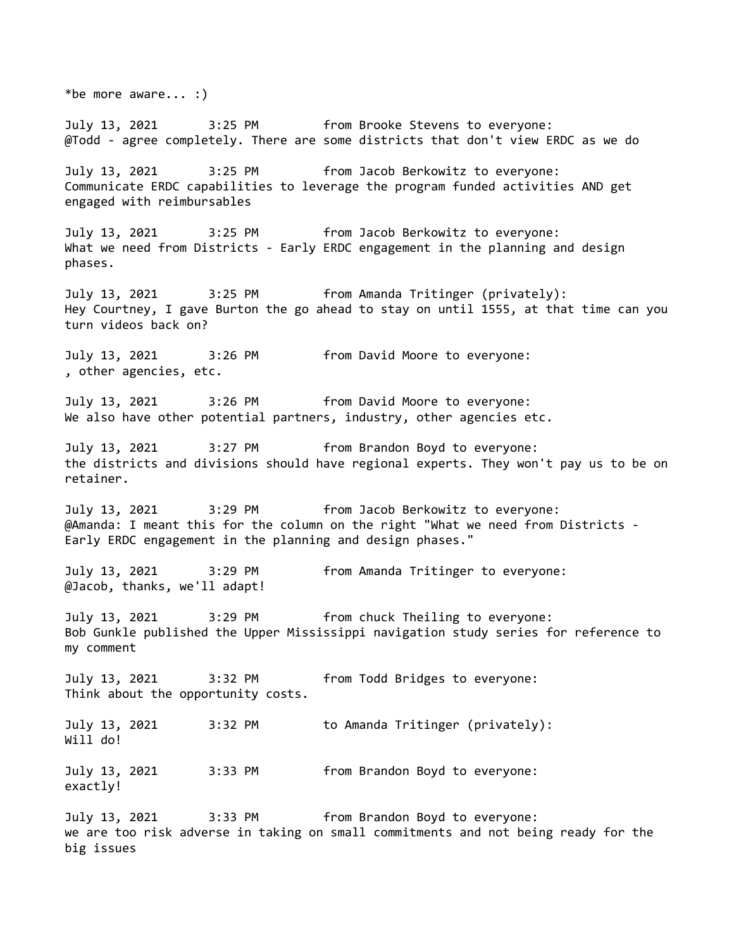\*be more aware... :) July 13, 2021 3:25 PM from Brooke Stevens to everyone: @Todd - agree completely. There are some districts that don't view ERDC as we do July 13, 2021 3:25 PM from Jacob Berkowitz to everyone: Communicate ERDC capabilities to leverage the program funded activities AND get engaged with reimbursables July 13, 2021 3:25 PM from Jacob Berkowitz to everyone: What we need from Districts - Early ERDC engagement in the planning and design phases. July 13, 2021 3:25 PM from Amanda Tritinger (privately): Hey Courtney, I gave Burton the go ahead to stay on until 1555, at that time can you turn videos back on? July 13, 2021 3:26 PM from David Moore to everyone: , other agencies, etc. July 13, 2021 3:26 PM from David Moore to everyone: We also have other potential partners, industry, other agencies etc. July 13, 2021 3:27 PM from Brandon Boyd to everyone: the districts and divisions should have regional experts. They won't pay us to be on retainer. July 13, 2021 3:29 PM from Jacob Berkowitz to everyone: @Amanda: I meant this for the column on the right "What we need from Districts - Early ERDC engagement in the planning and design phases." July 13, 2021 3:29 PM from Amanda Tritinger to everyone: @Jacob, thanks, we'll adapt! July 13, 2021 3:29 PM from chuck Theiling to everyone: Bob Gunkle published the Upper Mississippi navigation study series for reference to my comment July 13, 2021 3:32 PM from Todd Bridges to everyone: Think about the opportunity costs. July 13, 2021 3:32 PM to Amanda Tritinger (privately): Will do! July 13, 2021 3:33 PM from Brandon Boyd to everyone: exactly! July 13, 2021 3:33 PM from Brandon Boyd to everyone: we are too risk adverse in taking on small commitments and not being ready for the big issues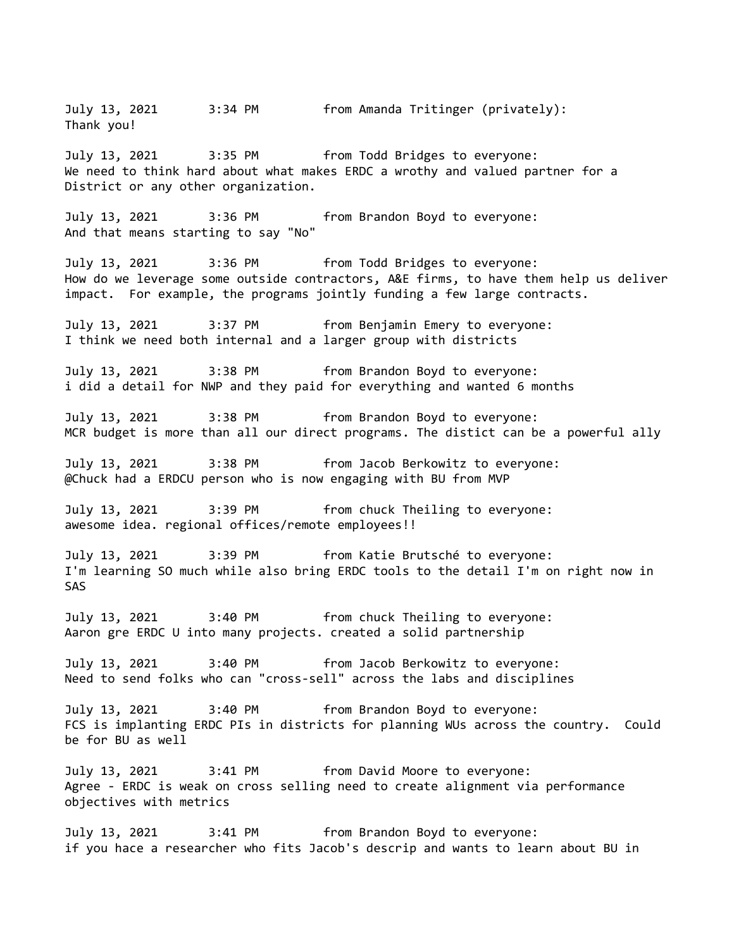July 13, 2021 3:34 PM from Amanda Tritinger (privately): Thank you! July 13, 2021 3:35 PM from Todd Bridges to everyone: We need to think hard about what makes ERDC a wrothy and valued partner for a District or any other organization. July 13, 2021 3:36 PM from Brandon Boyd to everyone: And that means starting to say "No" July 13, 2021 3:36 PM from Todd Bridges to everyone: How do we leverage some outside contractors, A&E firms, to have them help us deliver impact. For example, the programs jointly funding a few large contracts. July 13, 2021 3:37 PM from Benjamin Emery to everyone: I think we need both internal and a larger group with districts July 13, 2021 3:38 PM from Brandon Boyd to everyone: i did a detail for NWP and they paid for everything and wanted 6 months July 13, 2021 3:38 PM from Brandon Boyd to everyone: MCR budget is more than all our direct programs. The distict can be a powerful ally July 13, 2021 3:38 PM from Jacob Berkowitz to everyone: @Chuck had a ERDCU person who is now engaging with BU from MVP July 13, 2021 3:39 PM from chuck Theiling to everyone: awesome idea. regional offices/remote employees!! July 13, 2021 3:39 PM from Katie Brutsché to everyone: I'm learning SO much while also bring ERDC tools to the detail I'm on right now in SAS July 13, 2021 3:40 PM from chuck Theiling to everyone: Aaron gre ERDC U into many projects. created a solid partnership July 13, 2021 3:40 PM from Jacob Berkowitz to everyone: Need to send folks who can "cross-sell" across the labs and disciplines July 13, 2021 3:40 PM from Brandon Boyd to everyone: FCS is implanting ERDC PIs in districts for planning WUs across the country. Could be for BU as well July 13, 2021 3:41 PM from David Moore to everyone: Agree - ERDC is weak on cross selling need to create alignment via performance objectives with metrics July 13, 2021 3:41 PM from Brandon Boyd to everyone: if you hace a researcher who fits Jacob's descrip and wants to learn about BU in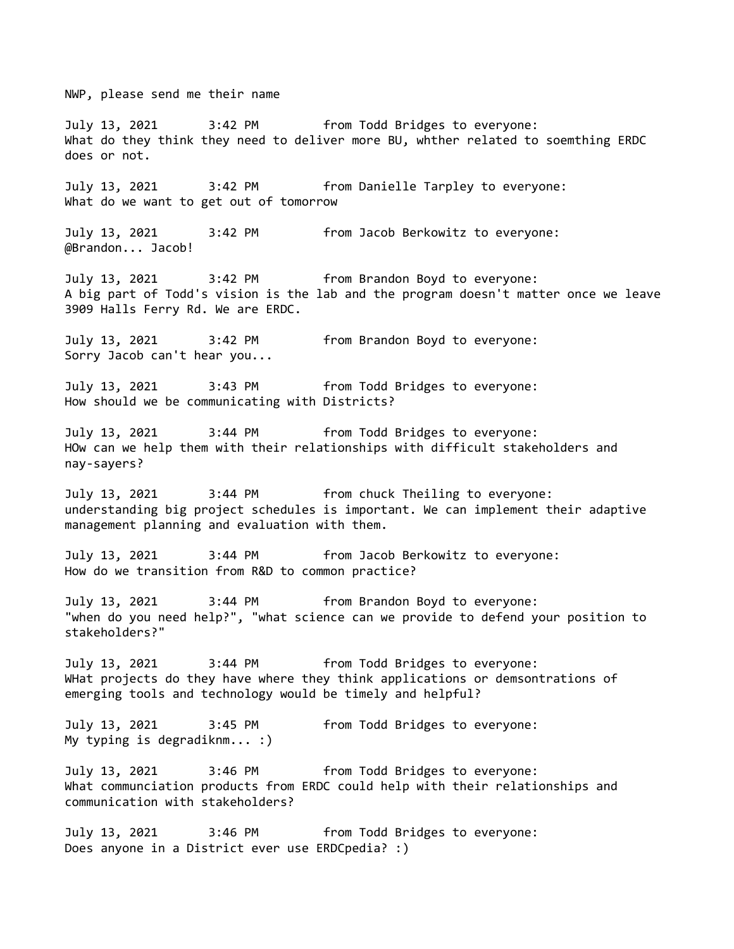NWP, please send me their name

July 13, 2021 3:42 PM from Todd Bridges to everyone: What do they think they need to deliver more BU, whther related to soemthing ERDC does or not.

July 13, 2021 3:42 PM from Danielle Tarpley to everyone: What do we want to get out of tomorrow

July 13, 2021 3:42 PM from Jacob Berkowitz to everyone: @Brandon... Jacob!

July 13, 2021 3:42 PM from Brandon Boyd to everyone: A big part of Todd's vision is the lab and the program doesn't matter once we leave 3909 Halls Ferry Rd. We are ERDC.

July 13, 2021 3:42 PM from Brandon Boyd to everyone: Sorry Jacob can't hear you...

July 13, 2021 3:43 PM from Todd Bridges to everyone: How should we be communicating with Districts?

July 13, 2021 3:44 PM from Todd Bridges to everyone: HOw can we help them with their relationships with difficult stakeholders and nay-sayers?

July 13, 2021 3:44 PM from chuck Theiling to everyone: understanding big project schedules is important. We can implement their adaptive management planning and evaluation with them.

July 13, 2021 3:44 PM from Jacob Berkowitz to everyone: How do we transition from R&D to common practice?

July 13, 2021 3:44 PM from Brandon Boyd to everyone: "when do you need help?", "what science can we provide to defend your position to stakeholders?"

July 13, 2021 3:44 PM from Todd Bridges to everyone: WHat projects do they have where they think applications or demsontrations of emerging tools and technology would be timely and helpful?

July 13, 2021 3:45 PM from Todd Bridges to everyone: My typing is degradiknm... :)

July 13, 2021 3:46 PM from Todd Bridges to everyone: What communciation products from ERDC could help with their relationships and communication with stakeholders?

July 13, 2021 3:46 PM from Todd Bridges to everyone: Does anyone in a District ever use ERDCpedia? :)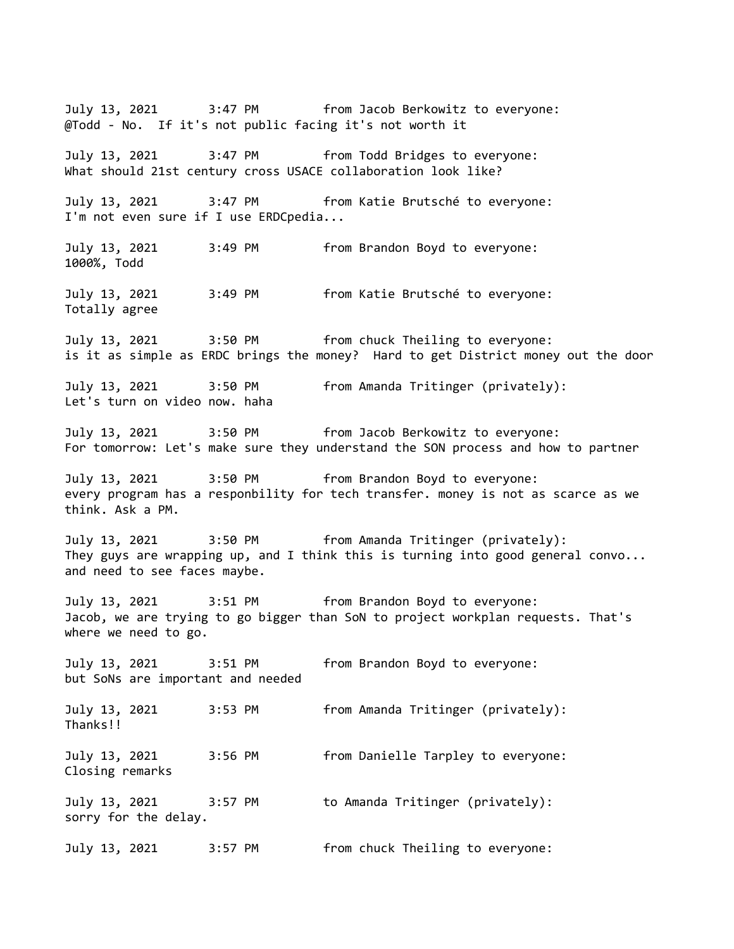July 13, 2021 3:47 PM from Jacob Berkowitz to everyone: @Todd - No. If it's not public facing it's not worth it July 13, 2021 3:47 PM from Todd Bridges to everyone: What should 21st century cross USACE collaboration look like? July 13, 2021 3:47 PM from Katie Brutsché to everyone: I'm not even sure if I use ERDCpedia... July 13, 2021 3:49 PM from Brandon Boyd to everyone: 1000%, Todd July 13, 2021 3:49 PM from Katie Brutsché to everyone: Totally agree July 13, 2021 3:50 PM from chuck Theiling to everyone: is it as simple as ERDC brings the money? Hard to get District money out the door July 13, 2021 3:50 PM from Amanda Tritinger (privately): Let's turn on video now. haha July 13, 2021 3:50 PM from Jacob Berkowitz to everyone: For tomorrow: Let's make sure they understand the SON process and how to partner July 13, 2021 3:50 PM from Brandon Boyd to everyone: every program has a responbility for tech transfer. money is not as scarce as we think. Ask a PM. July 13, 2021 3:50 PM from Amanda Tritinger (privately): They guys are wrapping up, and I think this is turning into good general convo... and need to see faces maybe. July 13, 2021 3:51 PM from Brandon Boyd to everyone: Jacob, we are trying to go bigger than SoN to project workplan requests. That's where we need to go. July 13, 2021 3:51 PM from Brandon Boyd to everyone: but SoNs are important and needed July 13, 2021 3:53 PM from Amanda Tritinger (privately): Thanks!! July 13, 2021 3:56 PM from Danielle Tarpley to everyone: Closing remarks July 13, 2021 3:57 PM to Amanda Tritinger (privately): sorry for the delay. July 13, 2021 3:57 PM from chuck Theiling to everyone: